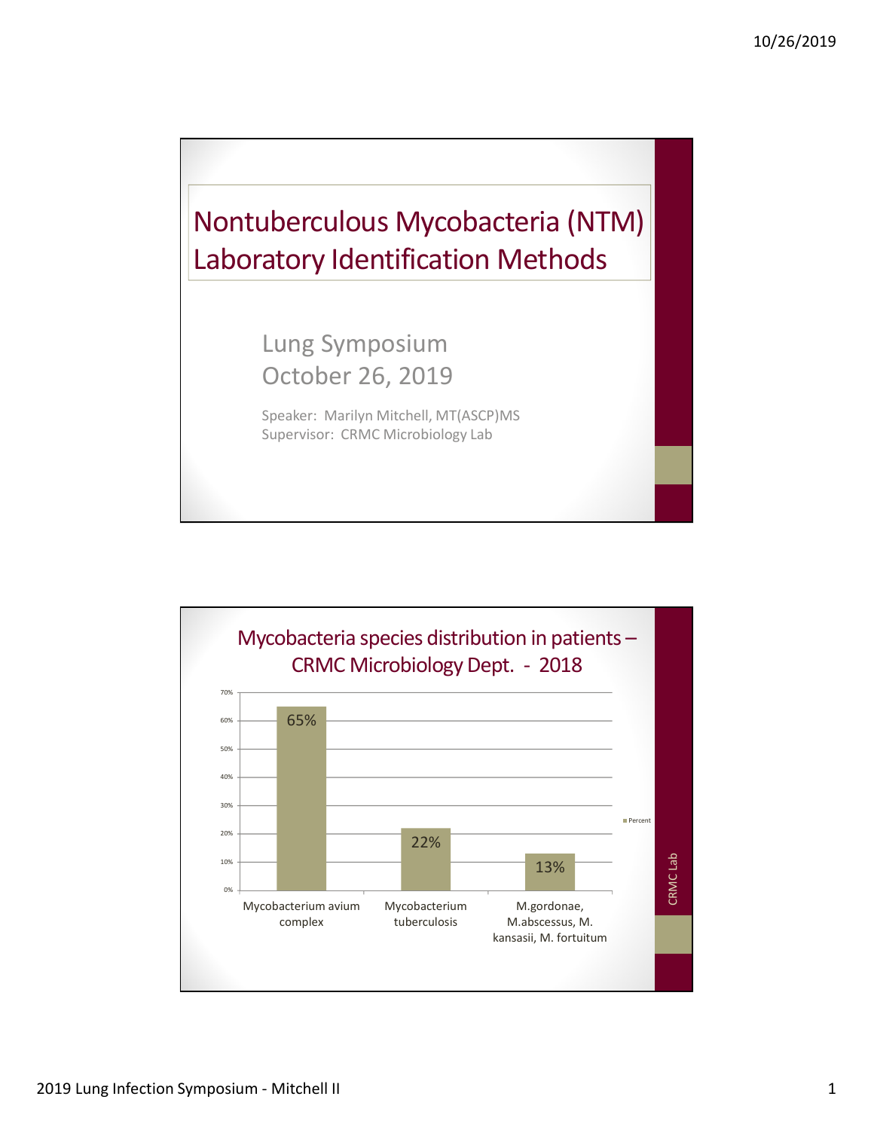

Speaker: Marilyn Mitchell, MT(ASCP)MS Supervisor: CRMC Microbiology Lab

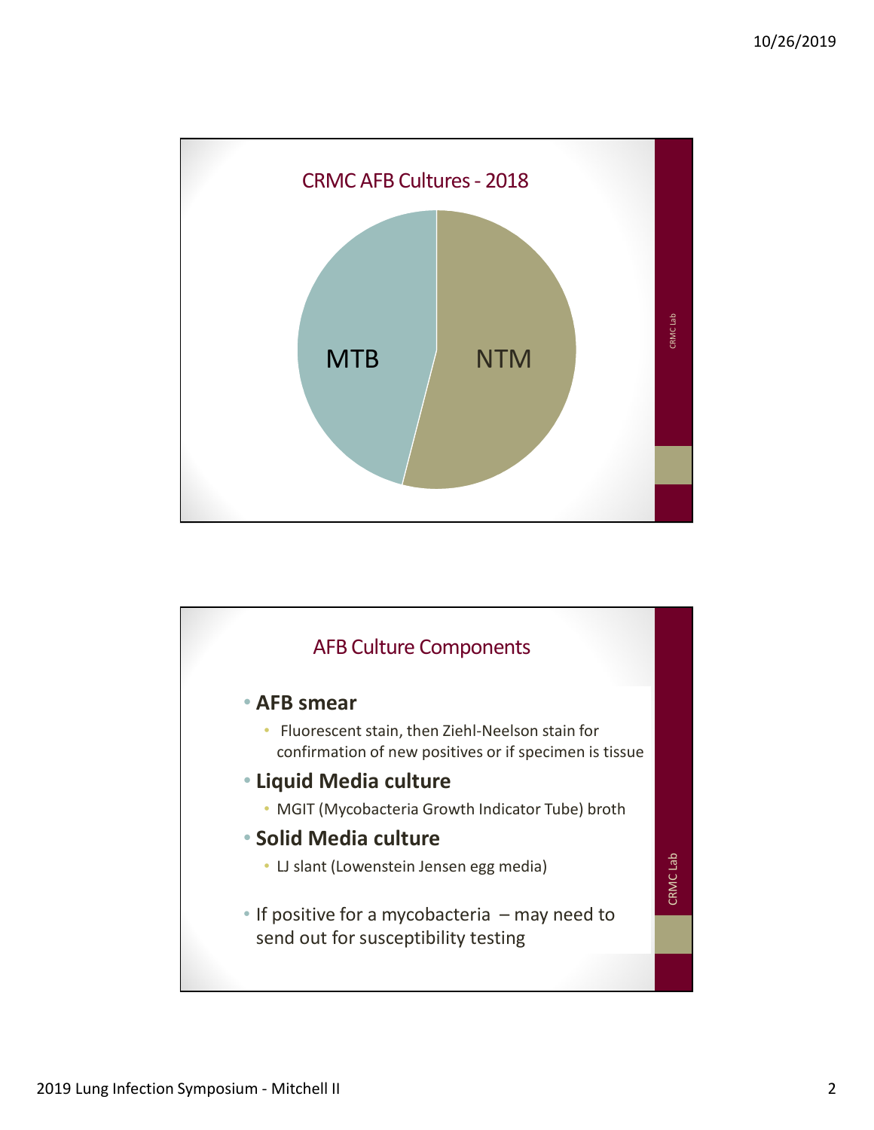

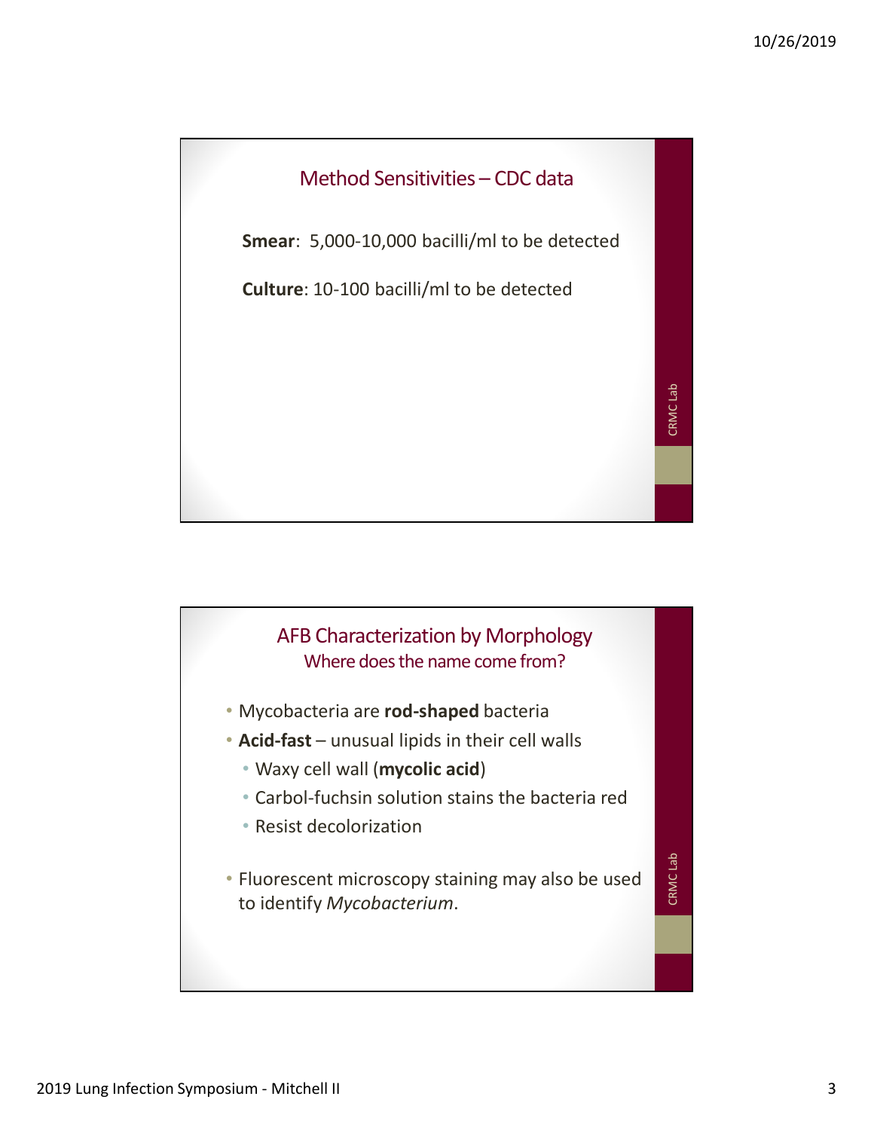

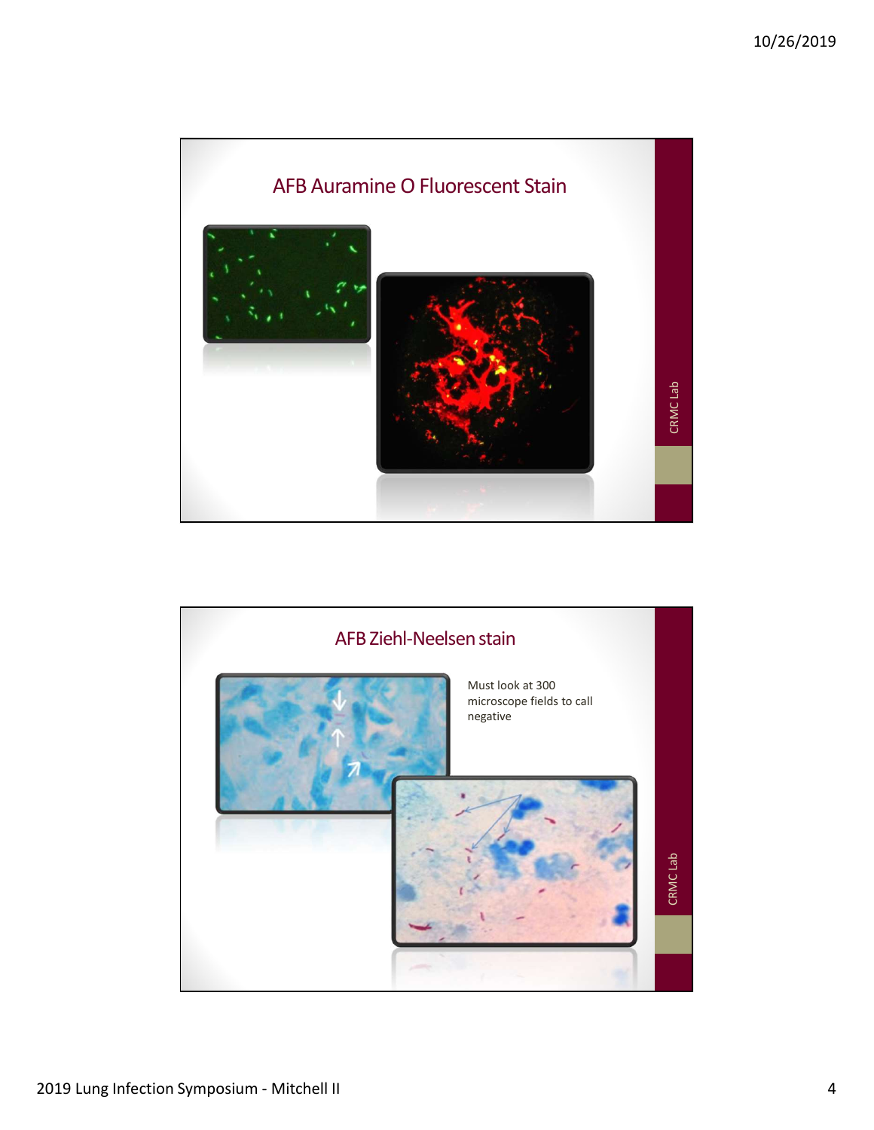

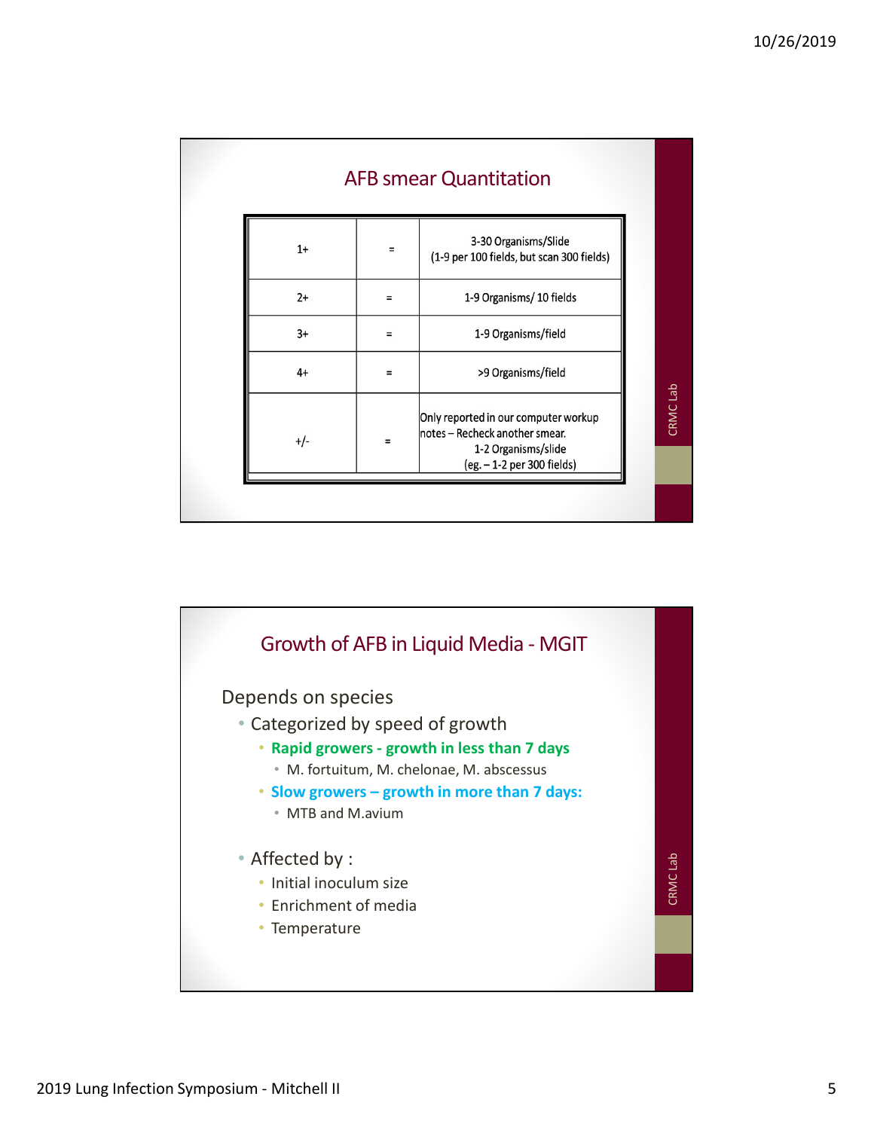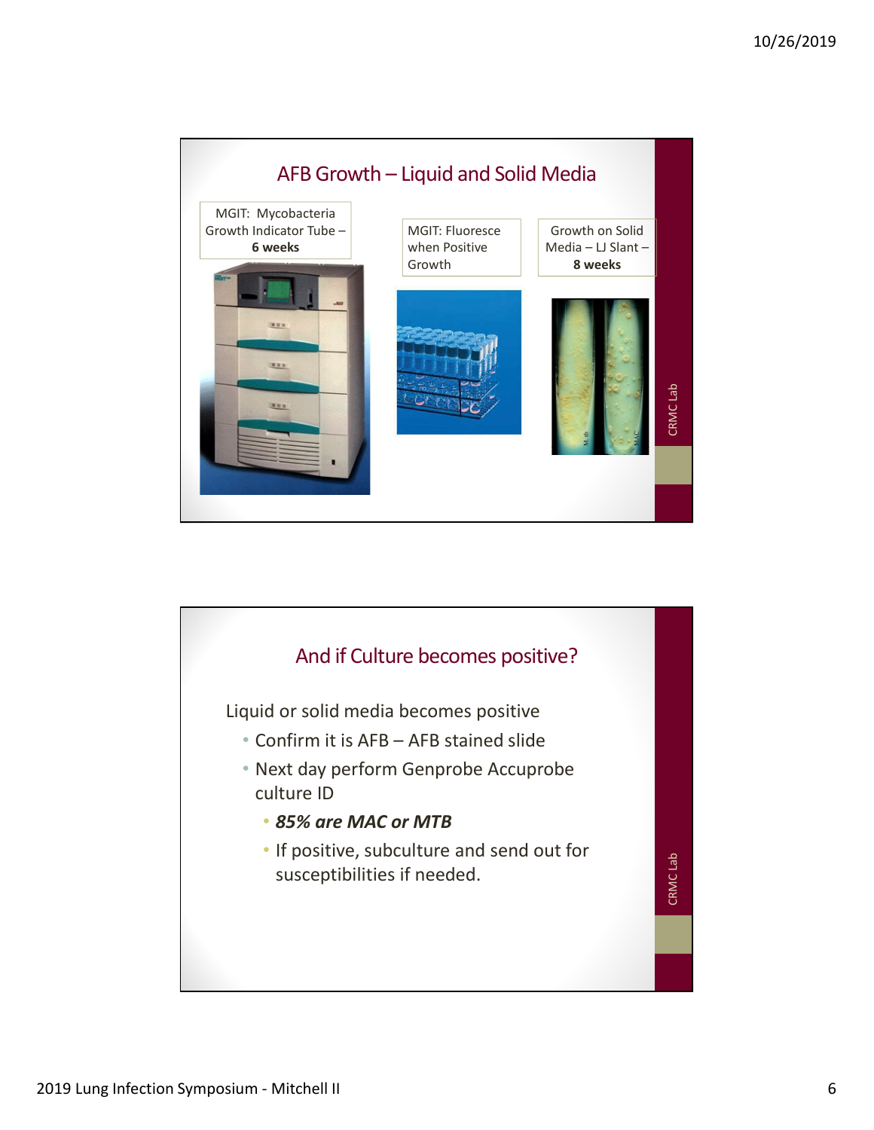

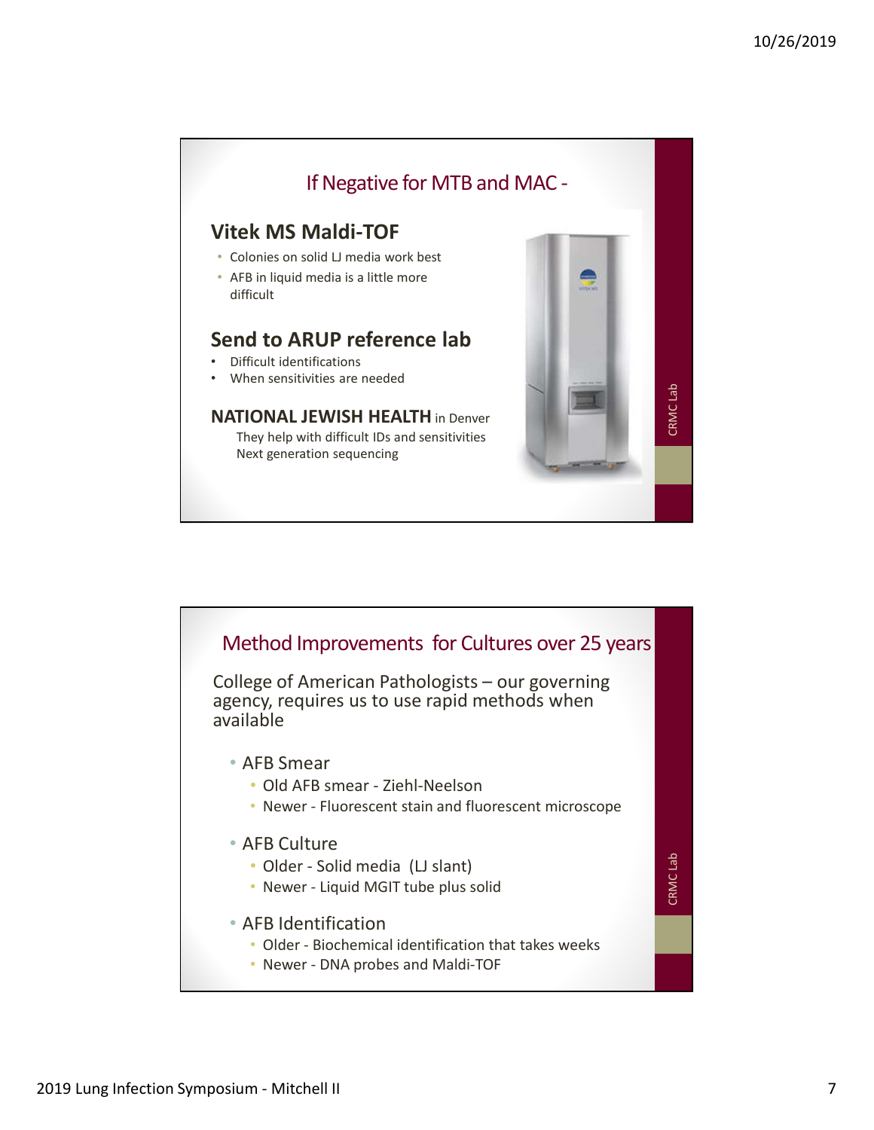

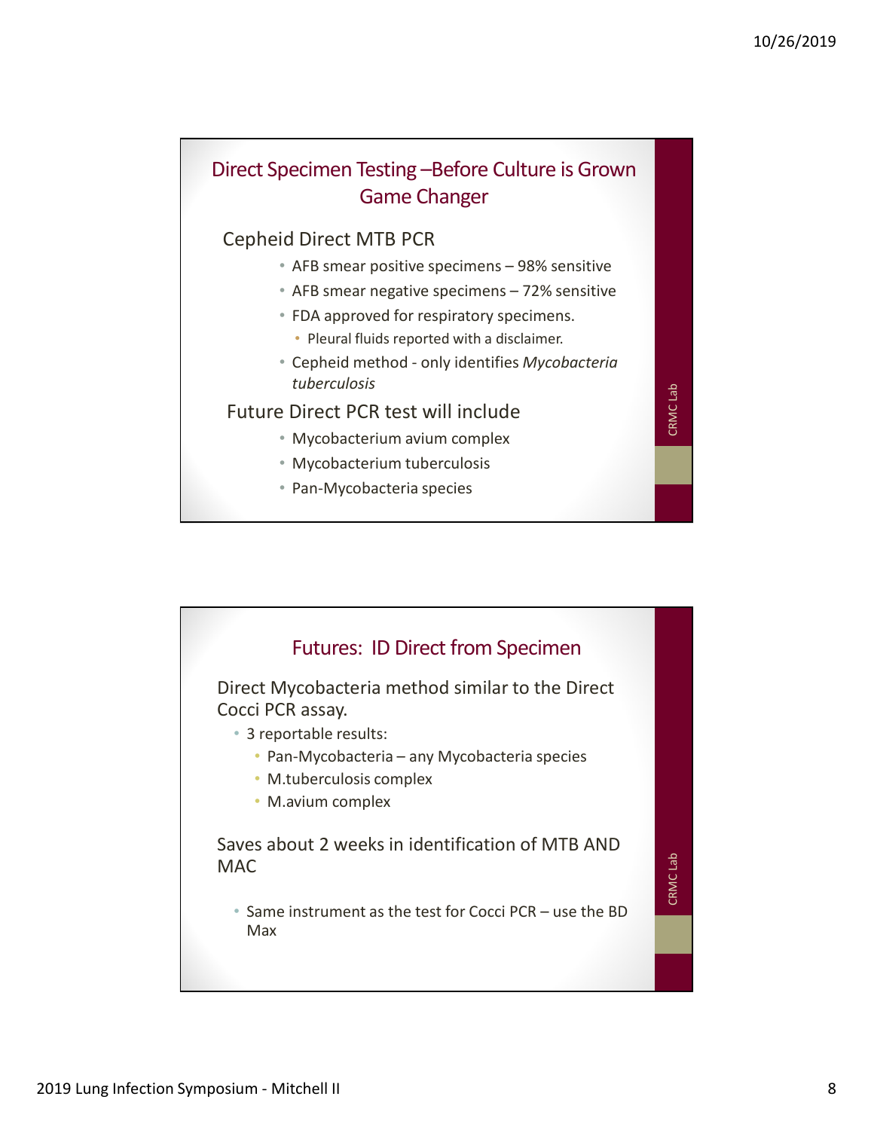## Direct Specimen Testing –Before Culture is Grown Game Changer 10/26/2019<br>• Prociment Testing – Before Culture is Grown<br>• Game Changer<br>• AFB smear positive specimens – 98% sensitive<br>• AFB smear negative specimens – 72% sensitive<br>• FDA approved for respiratory specimens.<br>• Pleural flui 10/26/2019<br>
• Prociment Testing – Before Culture is Grown<br>
• Game Changer<br>
• AFB smear positive specimens – 98% sensitive<br>
• AFB smear negative specimens – 72% sensitive<br>
• FDA approved for respiratory specimens.<br>
• Pleura 10/26/2019<br>
• Cephement Testing – Before Culture is Grown<br>
• Game Changer<br>
• Cephement MB PCR<br>
• AFB smear positive specimens – 98% sensitive<br>
• FDA approved for respiratory specimens.<br>
• Pleural fluids reported with a dis **pecimen Testing –Before Culture is Grown**<br> **Game Changer**<br>
• AFB smear positive specimens – 98% sensitive<br>
• AFB smear negative specimens – 72% sensitive<br>
• FDA approved for respiratory specimens.<br>
• Pleural fluids report

## Cepheid Direct MTB PCR

- 
- 
- FDA approved for respiratory specimens.
	- Pleural fluids reported with a disclaimer.
- tuberculosis

Euture Direct PCR test will include e Direct PCR test will include<br>• Mycobacterium avium complex<br>• Mycobacterium tuberculosis<br>• Pan-Mycobacteria species

- 
- Mycobacterium tuberculosis
- 

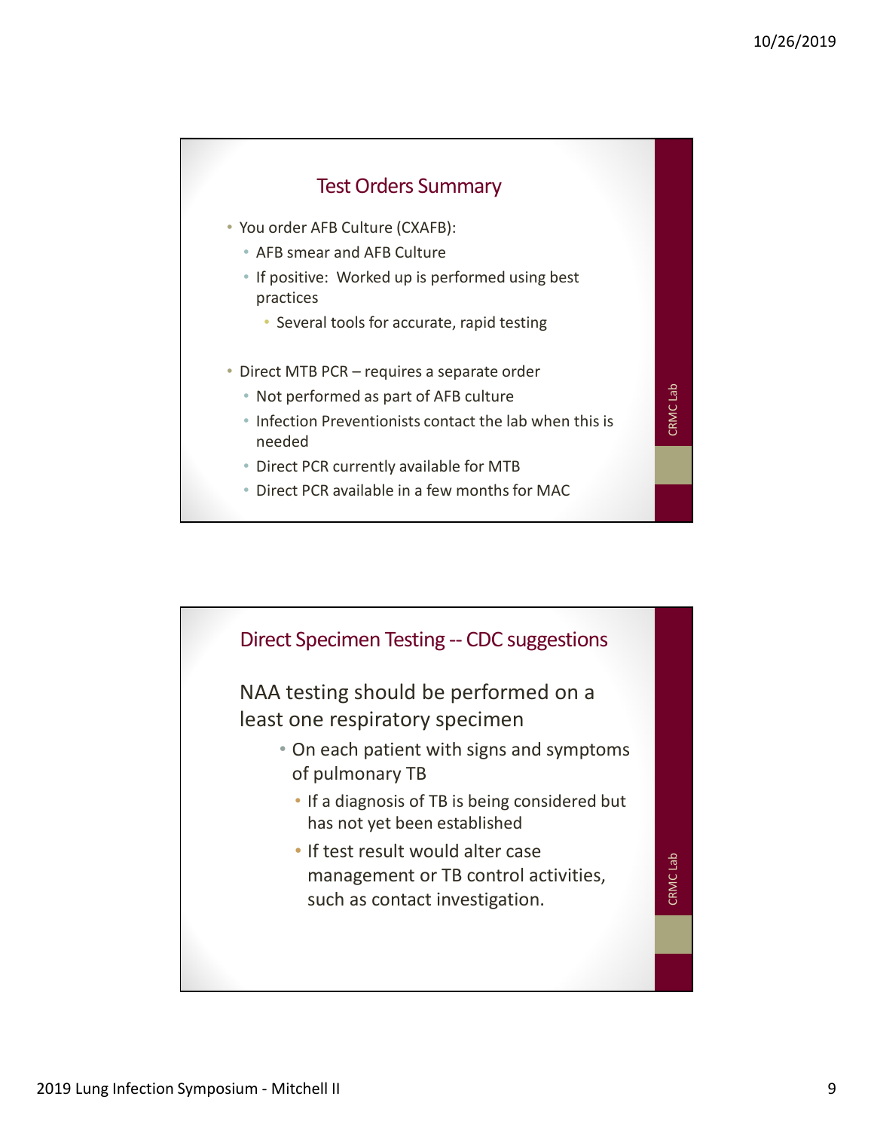

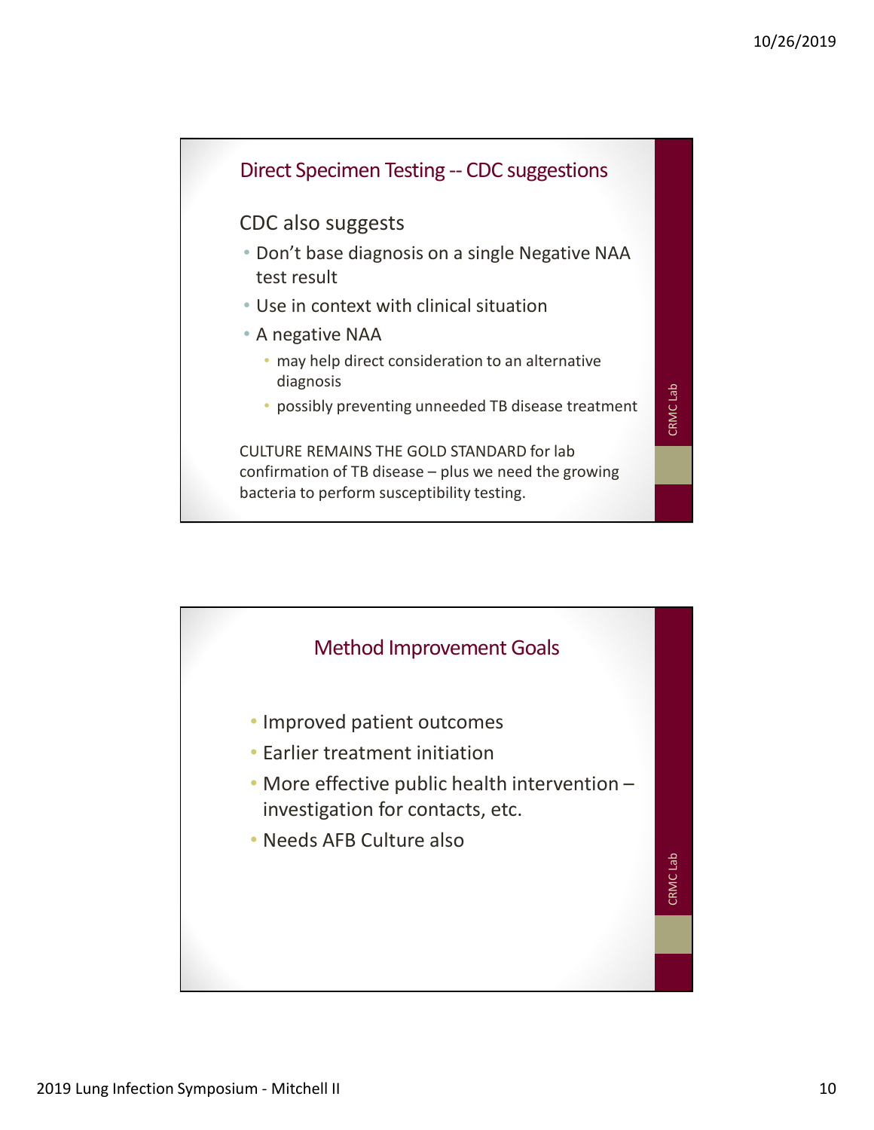